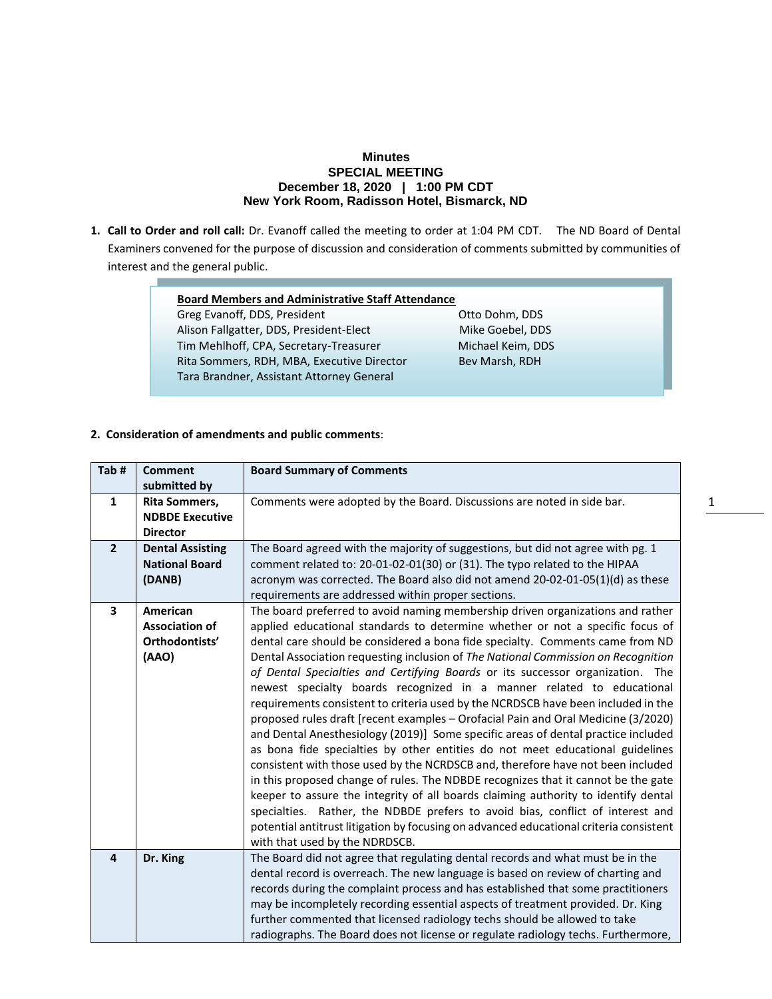## **Minutes SPECIAL MEETING December 18, 2020 | 1:00 PM CDT New York Room, Radisson Hotel, Bismarck, ND**

**1. Call to Order and roll call:** Dr. Evanoff called the meeting to order at 1:04 PM CDT.The ND Board of Dental Examiners convened for the purpose of discussion and consideration of comments submitted by communities of interest and the general public.

| <b>Board Members and Administrative Staff Attendance</b> |                   |  |
|----------------------------------------------------------|-------------------|--|
| Greg Evanoff, DDS, President                             | Otto Dohm, DDS    |  |
| Alison Fallgatter, DDS, President-Elect                  | Mike Goebel, DDS  |  |
| Tim Mehlhoff, CPA, Secretary-Treasurer                   | Michael Keim, DDS |  |
| Rita Sommers, RDH, MBA, Executive Director               | Bev Marsh, RDH    |  |
| Tara Brandner, Assistant Attorney General                |                   |  |
|                                                          |                   |  |

**2. Consideration of amendments and public comments**:

| Tab#                    | <b>Comment</b>          | <b>Board Summary of Comments</b>                                                       |
|-------------------------|-------------------------|----------------------------------------------------------------------------------------|
|                         | submitted by            |                                                                                        |
| 1                       | Rita Sommers,           | Comments were adopted by the Board. Discussions are noted in side bar.                 |
|                         | <b>NDBDE Executive</b>  |                                                                                        |
|                         | <b>Director</b>         |                                                                                        |
| $\overline{2}$          | <b>Dental Assisting</b> | The Board agreed with the majority of suggestions, but did not agree with pg. 1        |
|                         | <b>National Board</b>   | comment related to: 20-01-02-01(30) or (31). The typo related to the HIPAA             |
|                         | (DANB)                  | acronym was corrected. The Board also did not amend 20-02-01-05(1)(d) as these         |
|                         |                         | requirements are addressed within proper sections.                                     |
| $\overline{\mathbf{3}}$ | American                | The board preferred to avoid naming membership driven organizations and rather         |
|                         | <b>Association of</b>   | applied educational standards to determine whether or not a specific focus of          |
|                         | Orthodontists'          | dental care should be considered a bona fide specialty. Comments came from ND          |
|                         | (AAO)                   | Dental Association requesting inclusion of The National Commission on Recognition      |
|                         |                         | of Dental Specialties and Certifying Boards or its successor organization. The         |
|                         |                         | newest specialty boards recognized in a manner related to educational                  |
|                         |                         | requirements consistent to criteria used by the NCRDSCB have been included in the      |
|                         |                         | proposed rules draft [recent examples - Orofacial Pain and Oral Medicine (3/2020)      |
|                         |                         | and Dental Anesthesiology (2019)] Some specific areas of dental practice included      |
|                         |                         | as bona fide specialties by other entities do not meet educational guidelines          |
|                         |                         | consistent with those used by the NCRDSCB and, therefore have not been included        |
|                         |                         | in this proposed change of rules. The NDBDE recognizes that it cannot be the gate      |
|                         |                         | keeper to assure the integrity of all boards claiming authority to identify dental     |
|                         |                         | specialties. Rather, the NDBDE prefers to avoid bias, conflict of interest and         |
|                         |                         | potential antitrust litigation by focusing on advanced educational criteria consistent |
|                         |                         | with that used by the NDRDSCB.                                                         |
| $\overline{a}$          | Dr. King                | The Board did not agree that regulating dental records and what must be in the         |
|                         |                         | dental record is overreach. The new language is based on review of charting and        |
|                         |                         | records during the complaint process and has established that some practitioners       |
|                         |                         | may be incompletely recording essential aspects of treatment provided. Dr. King        |
|                         |                         | further commented that licensed radiology techs should be allowed to take              |
|                         |                         | radiographs. The Board does not license or regulate radiology techs. Furthermore,      |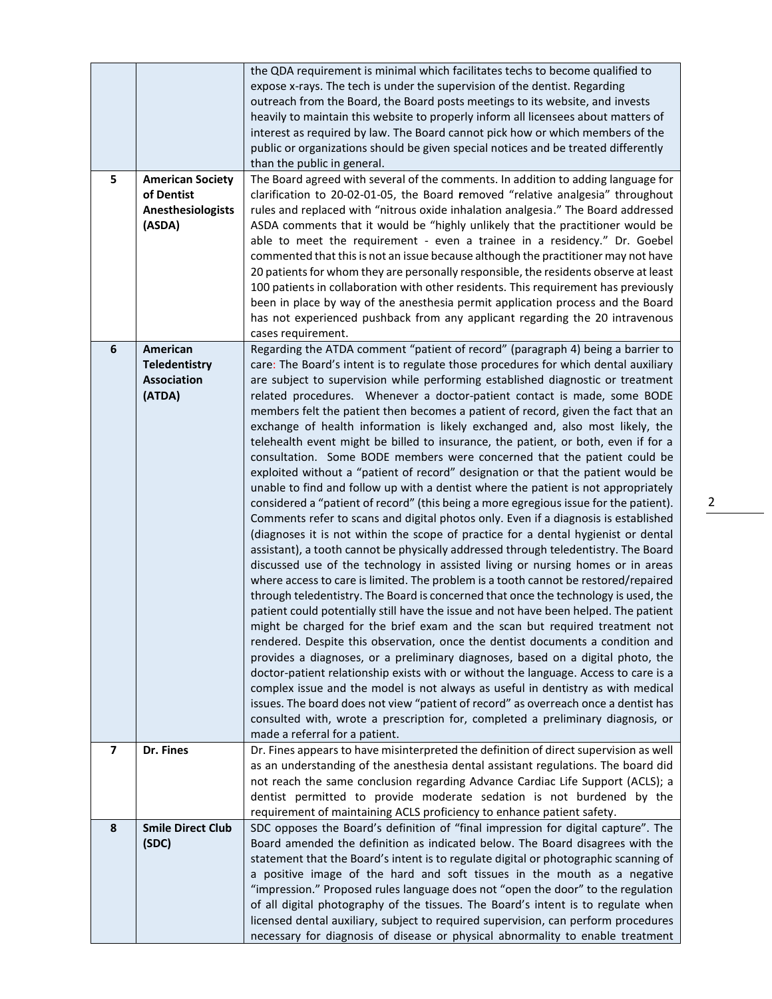| 5              | <b>American Society</b><br>of Dentist<br>Anesthesiologists<br>(ASDA) | the QDA requirement is minimal which facilitates techs to become qualified to<br>expose x-rays. The tech is under the supervision of the dentist. Regarding<br>outreach from the Board, the Board posts meetings to its website, and invests<br>heavily to maintain this website to properly inform all licensees about matters of<br>interest as required by law. The Board cannot pick how or which members of the<br>public or organizations should be given special notices and be treated differently<br>than the public in general.<br>The Board agreed with several of the comments. In addition to adding language for<br>clarification to 20-02-01-05, the Board removed "relative analgesia" throughout<br>rules and replaced with "nitrous oxide inhalation analgesia." The Board addressed<br>ASDA comments that it would be "highly unlikely that the practitioner would be<br>able to meet the requirement - even a trainee in a residency." Dr. Goebel<br>commented that this is not an issue because although the practitioner may not have                                                                                                                                                                                                                                                                                                                                                                                                                                                                                                                                                                                                                                                                                                                                                                                                                                                                                                                                                                                                                                                                                                                                                               |
|----------------|----------------------------------------------------------------------|---------------------------------------------------------------------------------------------------------------------------------------------------------------------------------------------------------------------------------------------------------------------------------------------------------------------------------------------------------------------------------------------------------------------------------------------------------------------------------------------------------------------------------------------------------------------------------------------------------------------------------------------------------------------------------------------------------------------------------------------------------------------------------------------------------------------------------------------------------------------------------------------------------------------------------------------------------------------------------------------------------------------------------------------------------------------------------------------------------------------------------------------------------------------------------------------------------------------------------------------------------------------------------------------------------------------------------------------------------------------------------------------------------------------------------------------------------------------------------------------------------------------------------------------------------------------------------------------------------------------------------------------------------------------------------------------------------------------------------------------------------------------------------------------------------------------------------------------------------------------------------------------------------------------------------------------------------------------------------------------------------------------------------------------------------------------------------------------------------------------------------------------------------------------------------------------------------------------------|
|                |                                                                      | 20 patients for whom they are personally responsible, the residents observe at least<br>100 patients in collaboration with other residents. This requirement has previously<br>been in place by way of the anesthesia permit application process and the Board<br>has not experienced pushback from any applicant regarding the 20 intravenous                                                                                                                                                                                                                                                                                                                                                                                                                                                                                                                                                                                                                                                                                                                                                                                                                                                                                                                                                                                                                                                                                                                                                                                                                                                                                                                                                                                                                                                                                                                                                                                                                                                                                                                                                                                                                                                                            |
|                |                                                                      | cases requirement.                                                                                                                                                                                                                                                                                                                                                                                                                                                                                                                                                                                                                                                                                                                                                                                                                                                                                                                                                                                                                                                                                                                                                                                                                                                                                                                                                                                                                                                                                                                                                                                                                                                                                                                                                                                                                                                                                                                                                                                                                                                                                                                                                                                                        |
| 6              | American<br><b>Teledentistry</b><br>Association<br>(ATDA)            | Regarding the ATDA comment "patient of record" (paragraph 4) being a barrier to<br>care: The Board's intent is to regulate those procedures for which dental auxiliary<br>are subject to supervision while performing established diagnostic or treatment<br>related procedures. Whenever a doctor-patient contact is made, some BODE<br>members felt the patient then becomes a patient of record, given the fact that an<br>exchange of health information is likely exchanged and, also most likely, the<br>telehealth event might be billed to insurance, the patient, or both, even if for a<br>consultation. Some BODE members were concerned that the patient could be<br>exploited without a "patient of record" designation or that the patient would be<br>unable to find and follow up with a dentist where the patient is not appropriately<br>considered a "patient of record" (this being a more egregious issue for the patient).<br>Comments refer to scans and digital photos only. Even if a diagnosis is established<br>(diagnoses it is not within the scope of practice for a dental hygienist or dental<br>assistant), a tooth cannot be physically addressed through teledentistry. The Board<br>discussed use of the technology in assisted living or nursing homes or in areas<br>where access to care is limited. The problem is a tooth cannot be restored/repaired<br>through teledentistry. The Board is concerned that once the technology is used, the<br>patient could potentially still have the issue and not have been helped. The patient<br>might be charged for the brief exam and the scan but required treatment not<br>rendered. Despite this observation, once the dentist documents a condition and<br>provides a diagnoses, or a preliminary diagnoses, based on a digital photo, the<br>doctor-patient relationship exists with or without the language. Access to care is a<br>complex issue and the model is not always as useful in dentistry as with medical<br>issues. The board does not view "patient of record" as overreach once a dentist has<br>consulted with, wrote a prescription for, completed a preliminary diagnosis, or<br>made a referral for a patient. |
| $\overline{7}$ | Dr. Fines                                                            | Dr. Fines appears to have misinterpreted the definition of direct supervision as well<br>as an understanding of the anesthesia dental assistant regulations. The board did<br>not reach the same conclusion regarding Advance Cardiac Life Support (ACLS); a<br>dentist permitted to provide moderate sedation is not burdened by the<br>requirement of maintaining ACLS proficiency to enhance patient safety.                                                                                                                                                                                                                                                                                                                                                                                                                                                                                                                                                                                                                                                                                                                                                                                                                                                                                                                                                                                                                                                                                                                                                                                                                                                                                                                                                                                                                                                                                                                                                                                                                                                                                                                                                                                                           |
| 8              | <b>Smile Direct Club</b>                                             | SDC opposes the Board's definition of "final impression for digital capture". The                                                                                                                                                                                                                                                                                                                                                                                                                                                                                                                                                                                                                                                                                                                                                                                                                                                                                                                                                                                                                                                                                                                                                                                                                                                                                                                                                                                                                                                                                                                                                                                                                                                                                                                                                                                                                                                                                                                                                                                                                                                                                                                                         |
|                | (SDC)                                                                | Board amended the definition as indicated below. The Board disagrees with the<br>statement that the Board's intent is to regulate digital or photographic scanning of<br>a positive image of the hard and soft tissues in the mouth as a negative<br>"impression." Proposed rules language does not "open the door" to the regulation<br>of all digital photography of the tissues. The Board's intent is to regulate when<br>licensed dental auxiliary, subject to required supervision, can perform procedures<br>necessary for diagnosis of disease or physical abnormality to enable treatment                                                                                                                                                                                                                                                                                                                                                                                                                                                                                                                                                                                                                                                                                                                                                                                                                                                                                                                                                                                                                                                                                                                                                                                                                                                                                                                                                                                                                                                                                                                                                                                                                        |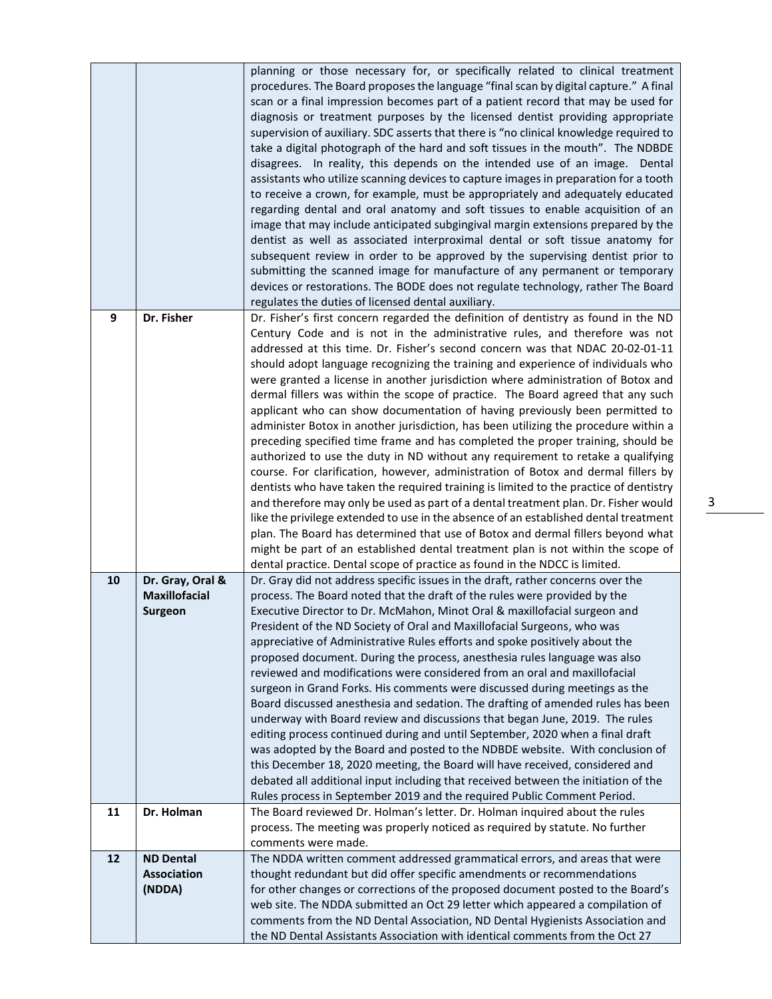|    |                      | planning or those necessary for, or specifically related to clinical treatment<br>procedures. The Board proposes the language "final scan by digital capture." A final<br>scan or a final impression becomes part of a patient record that may be used for<br>diagnosis or treatment purposes by the licensed dentist providing appropriate<br>supervision of auxiliary. SDC asserts that there is "no clinical knowledge required to<br>take a digital photograph of the hard and soft tissues in the mouth". The NDBDE<br>disagrees. In reality, this depends on the intended use of an image. Dental<br>assistants who utilize scanning devices to capture images in preparation for a tooth |
|----|----------------------|-------------------------------------------------------------------------------------------------------------------------------------------------------------------------------------------------------------------------------------------------------------------------------------------------------------------------------------------------------------------------------------------------------------------------------------------------------------------------------------------------------------------------------------------------------------------------------------------------------------------------------------------------------------------------------------------------|
|    |                      | to receive a crown, for example, must be appropriately and adequately educated<br>regarding dental and oral anatomy and soft tissues to enable acquisition of an                                                                                                                                                                                                                                                                                                                                                                                                                                                                                                                                |
|    |                      | image that may include anticipated subgingival margin extensions prepared by the<br>dentist as well as associated interproximal dental or soft tissue anatomy for                                                                                                                                                                                                                                                                                                                                                                                                                                                                                                                               |
|    |                      | subsequent review in order to be approved by the supervising dentist prior to<br>submitting the scanned image for manufacture of any permanent or temporary<br>devices or restorations. The BODE does not regulate technology, rather The Board                                                                                                                                                                                                                                                                                                                                                                                                                                                 |
|    |                      | regulates the duties of licensed dental auxiliary.                                                                                                                                                                                                                                                                                                                                                                                                                                                                                                                                                                                                                                              |
| 9  | Dr. Fisher           | Dr. Fisher's first concern regarded the definition of dentistry as found in the ND                                                                                                                                                                                                                                                                                                                                                                                                                                                                                                                                                                                                              |
|    |                      | Century Code and is not in the administrative rules, and therefore was not<br>addressed at this time. Dr. Fisher's second concern was that NDAC 20-02-01-11                                                                                                                                                                                                                                                                                                                                                                                                                                                                                                                                     |
|    |                      | should adopt language recognizing the training and experience of individuals who                                                                                                                                                                                                                                                                                                                                                                                                                                                                                                                                                                                                                |
|    |                      | were granted a license in another jurisdiction where administration of Botox and                                                                                                                                                                                                                                                                                                                                                                                                                                                                                                                                                                                                                |
|    |                      | dermal fillers was within the scope of practice. The Board agreed that any such                                                                                                                                                                                                                                                                                                                                                                                                                                                                                                                                                                                                                 |
|    |                      | applicant who can show documentation of having previously been permitted to                                                                                                                                                                                                                                                                                                                                                                                                                                                                                                                                                                                                                     |
|    |                      | administer Botox in another jurisdiction, has been utilizing the procedure within a                                                                                                                                                                                                                                                                                                                                                                                                                                                                                                                                                                                                             |
|    |                      | preceding specified time frame and has completed the proper training, should be                                                                                                                                                                                                                                                                                                                                                                                                                                                                                                                                                                                                                 |
|    |                      | authorized to use the duty in ND without any requirement to retake a qualifying                                                                                                                                                                                                                                                                                                                                                                                                                                                                                                                                                                                                                 |
|    |                      | course. For clarification, however, administration of Botox and dermal fillers by                                                                                                                                                                                                                                                                                                                                                                                                                                                                                                                                                                                                               |
|    |                      | dentists who have taken the required training is limited to the practice of dentistry<br>and therefore may only be used as part of a dental treatment plan. Dr. Fisher would                                                                                                                                                                                                                                                                                                                                                                                                                                                                                                                    |
|    |                      | like the privilege extended to use in the absence of an established dental treatment                                                                                                                                                                                                                                                                                                                                                                                                                                                                                                                                                                                                            |
|    |                      | plan. The Board has determined that use of Botox and dermal fillers beyond what                                                                                                                                                                                                                                                                                                                                                                                                                                                                                                                                                                                                                 |
|    |                      | might be part of an established dental treatment plan is not within the scope of                                                                                                                                                                                                                                                                                                                                                                                                                                                                                                                                                                                                                |
|    |                      | dental practice. Dental scope of practice as found in the NDCC is limited.                                                                                                                                                                                                                                                                                                                                                                                                                                                                                                                                                                                                                      |
| 10 | Dr. Gray, Oral &     | Dr. Gray did not address specific issues in the draft, rather concerns over the                                                                                                                                                                                                                                                                                                                                                                                                                                                                                                                                                                                                                 |
|    | <b>Maxillofacial</b> | process. The Board noted that the draft of the rules were provided by the                                                                                                                                                                                                                                                                                                                                                                                                                                                                                                                                                                                                                       |
|    | <b>Surgeon</b>       | Executive Director to Dr. McMahon, Minot Oral & maxillofacial surgeon and                                                                                                                                                                                                                                                                                                                                                                                                                                                                                                                                                                                                                       |
|    |                      | President of the ND Society of Oral and Maxillofacial Surgeons, who was<br>appreciative of Administrative Rules efforts and spoke positively about the                                                                                                                                                                                                                                                                                                                                                                                                                                                                                                                                          |
|    |                      | proposed document. During the process, anesthesia rules language was also                                                                                                                                                                                                                                                                                                                                                                                                                                                                                                                                                                                                                       |
|    |                      | reviewed and modifications were considered from an oral and maxillofacial                                                                                                                                                                                                                                                                                                                                                                                                                                                                                                                                                                                                                       |
|    |                      | surgeon in Grand Forks. His comments were discussed during meetings as the                                                                                                                                                                                                                                                                                                                                                                                                                                                                                                                                                                                                                      |
|    |                      | Board discussed anesthesia and sedation. The drafting of amended rules has been                                                                                                                                                                                                                                                                                                                                                                                                                                                                                                                                                                                                                 |
|    |                      | underway with Board review and discussions that began June, 2019. The rules                                                                                                                                                                                                                                                                                                                                                                                                                                                                                                                                                                                                                     |
|    |                      | editing process continued during and until September, 2020 when a final draft                                                                                                                                                                                                                                                                                                                                                                                                                                                                                                                                                                                                                   |
|    |                      | was adopted by the Board and posted to the NDBDE website. With conclusion of<br>this December 18, 2020 meeting, the Board will have received, considered and                                                                                                                                                                                                                                                                                                                                                                                                                                                                                                                                    |
|    |                      |                                                                                                                                                                                                                                                                                                                                                                                                                                                                                                                                                                                                                                                                                                 |
|    |                      |                                                                                                                                                                                                                                                                                                                                                                                                                                                                                                                                                                                                                                                                                                 |
| 11 |                      | debated all additional input including that received between the initiation of the                                                                                                                                                                                                                                                                                                                                                                                                                                                                                                                                                                                                              |
|    | Dr. Holman           | Rules process in September 2019 and the required Public Comment Period.<br>The Board reviewed Dr. Holman's letter. Dr. Holman inquired about the rules                                                                                                                                                                                                                                                                                                                                                                                                                                                                                                                                          |
|    |                      | process. The meeting was properly noticed as required by statute. No further                                                                                                                                                                                                                                                                                                                                                                                                                                                                                                                                                                                                                    |
|    |                      | comments were made.                                                                                                                                                                                                                                                                                                                                                                                                                                                                                                                                                                                                                                                                             |
| 12 | <b>ND Dental</b>     | The NDDA written comment addressed grammatical errors, and areas that were                                                                                                                                                                                                                                                                                                                                                                                                                                                                                                                                                                                                                      |
|    | <b>Association</b>   | thought redundant but did offer specific amendments or recommendations                                                                                                                                                                                                                                                                                                                                                                                                                                                                                                                                                                                                                          |
|    | (NDDA)               | for other changes or corrections of the proposed document posted to the Board's                                                                                                                                                                                                                                                                                                                                                                                                                                                                                                                                                                                                                 |
|    |                      | web site. The NDDA submitted an Oct 29 letter which appeared a compilation of<br>comments from the ND Dental Association, ND Dental Hygienists Association and                                                                                                                                                                                                                                                                                                                                                                                                                                                                                                                                  |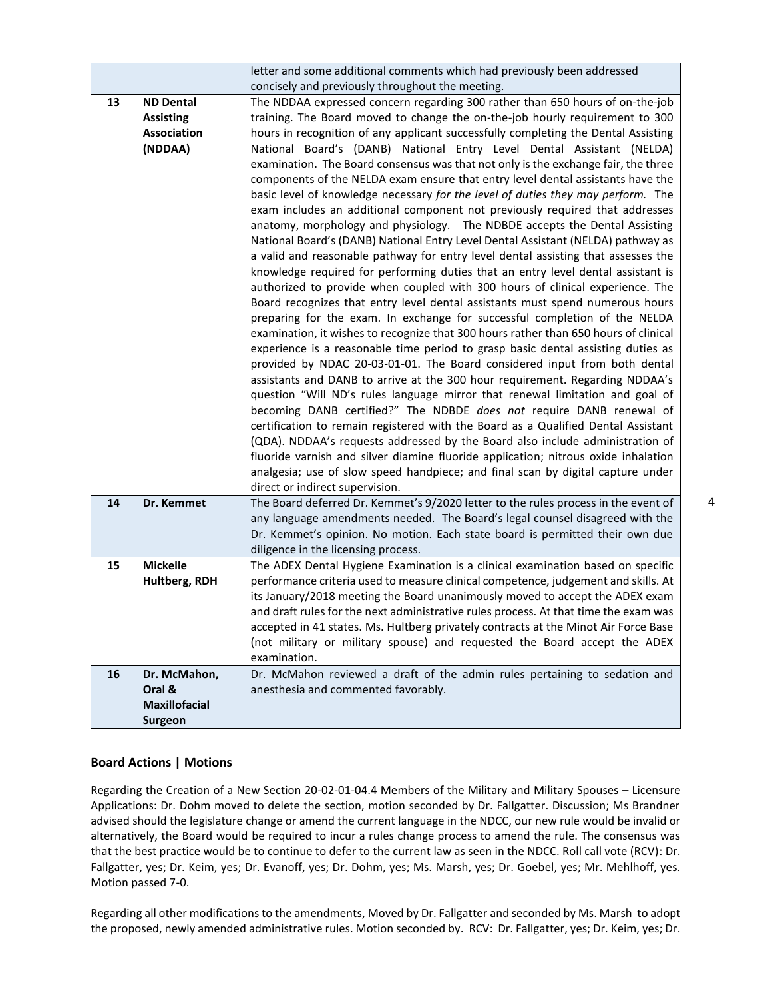|    |                                                                       | letter and some additional comments which had previously been addressed                                                                                                                                                                                                                                                                                                                                                                                                                                                                                                                                                                                                                                                                                                                                                                                                                                                                                                                                                                                                                                                                                                                                                                                                                                                                                                                                                                                                                                                                                                                                                                                                                                                                                                                                                                                                                                                                                                                                                                                                                                               |
|----|-----------------------------------------------------------------------|-----------------------------------------------------------------------------------------------------------------------------------------------------------------------------------------------------------------------------------------------------------------------------------------------------------------------------------------------------------------------------------------------------------------------------------------------------------------------------------------------------------------------------------------------------------------------------------------------------------------------------------------------------------------------------------------------------------------------------------------------------------------------------------------------------------------------------------------------------------------------------------------------------------------------------------------------------------------------------------------------------------------------------------------------------------------------------------------------------------------------------------------------------------------------------------------------------------------------------------------------------------------------------------------------------------------------------------------------------------------------------------------------------------------------------------------------------------------------------------------------------------------------------------------------------------------------------------------------------------------------------------------------------------------------------------------------------------------------------------------------------------------------------------------------------------------------------------------------------------------------------------------------------------------------------------------------------------------------------------------------------------------------------------------------------------------------------------------------------------------------|
|    |                                                                       | concisely and previously throughout the meeting.                                                                                                                                                                                                                                                                                                                                                                                                                                                                                                                                                                                                                                                                                                                                                                                                                                                                                                                                                                                                                                                                                                                                                                                                                                                                                                                                                                                                                                                                                                                                                                                                                                                                                                                                                                                                                                                                                                                                                                                                                                                                      |
| 13 | <b>ND Dental</b><br><b>Assisting</b><br><b>Association</b><br>(NDDAA) | The NDDAA expressed concern regarding 300 rather than 650 hours of on-the-job<br>training. The Board moved to change the on-the-job hourly requirement to 300<br>hours in recognition of any applicant successfully completing the Dental Assisting<br>National Board's (DANB) National Entry Level Dental Assistant (NELDA)<br>examination. The Board consensus was that not only is the exchange fair, the three<br>components of the NELDA exam ensure that entry level dental assistants have the<br>basic level of knowledge necessary for the level of duties they may perform. The<br>exam includes an additional component not previously required that addresses<br>anatomy, morphology and physiology. The NDBDE accepts the Dental Assisting<br>National Board's (DANB) National Entry Level Dental Assistant (NELDA) pathway as<br>a valid and reasonable pathway for entry level dental assisting that assesses the<br>knowledge required for performing duties that an entry level dental assistant is<br>authorized to provide when coupled with 300 hours of clinical experience. The<br>Board recognizes that entry level dental assistants must spend numerous hours<br>preparing for the exam. In exchange for successful completion of the NELDA<br>examination, it wishes to recognize that 300 hours rather than 650 hours of clinical<br>experience is a reasonable time period to grasp basic dental assisting duties as<br>provided by NDAC 20-03-01-01. The Board considered input from both dental<br>assistants and DANB to arrive at the 300 hour requirement. Regarding NDDAA's<br>question "Will ND's rules language mirror that renewal limitation and goal of<br>becoming DANB certified?" The NDBDE does not require DANB renewal of<br>certification to remain registered with the Board as a Qualified Dental Assistant<br>(QDA). NDDAA's requests addressed by the Board also include administration of<br>fluoride varnish and silver diamine fluoride application; nitrous oxide inhalation<br>analgesia; use of slow speed handpiece; and final scan by digital capture under |
| 14 | Dr. Kemmet                                                            | direct or indirect supervision.<br>The Board deferred Dr. Kemmet's 9/2020 letter to the rules process in the event of                                                                                                                                                                                                                                                                                                                                                                                                                                                                                                                                                                                                                                                                                                                                                                                                                                                                                                                                                                                                                                                                                                                                                                                                                                                                                                                                                                                                                                                                                                                                                                                                                                                                                                                                                                                                                                                                                                                                                                                                 |
|    |                                                                       | any language amendments needed. The Board's legal counsel disagreed with the<br>Dr. Kemmet's opinion. No motion. Each state board is permitted their own due<br>diligence in the licensing process.                                                                                                                                                                                                                                                                                                                                                                                                                                                                                                                                                                                                                                                                                                                                                                                                                                                                                                                                                                                                                                                                                                                                                                                                                                                                                                                                                                                                                                                                                                                                                                                                                                                                                                                                                                                                                                                                                                                   |
| 15 | <b>Mickelle</b><br>Hultberg, RDH                                      | The ADEX Dental Hygiene Examination is a clinical examination based on specific<br>performance criteria used to measure clinical competence, judgement and skills. At<br>its January/2018 meeting the Board unanimously moved to accept the ADEX exam<br>and draft rules for the next administrative rules process. At that time the exam was<br>accepted in 41 states. Ms. Hultberg privately contracts at the Minot Air Force Base<br>(not military or military spouse) and requested the Board accept the ADEX<br>examination.                                                                                                                                                                                                                                                                                                                                                                                                                                                                                                                                                                                                                                                                                                                                                                                                                                                                                                                                                                                                                                                                                                                                                                                                                                                                                                                                                                                                                                                                                                                                                                                     |
| 16 | Dr. McMahon,<br>Oral &<br><b>Maxillofacial</b><br><b>Surgeon</b>      | Dr. McMahon reviewed a draft of the admin rules pertaining to sedation and<br>anesthesia and commented favorably.                                                                                                                                                                                                                                                                                                                                                                                                                                                                                                                                                                                                                                                                                                                                                                                                                                                                                                                                                                                                                                                                                                                                                                                                                                                                                                                                                                                                                                                                                                                                                                                                                                                                                                                                                                                                                                                                                                                                                                                                     |

## **Board Actions | Motions**

Regarding the Creation of a New Section 20-02-01-04.4 Members of the Military and Military Spouses – Licensure Applications: Dr. Dohm moved to delete the section, motion seconded by Dr. Fallgatter. Discussion; Ms Brandner advised should the legislature change or amend the current language in the NDCC, our new rule would be invalid or alternatively, the Board would be required to incur a rules change process to amend the rule. The consensus was that the best practice would be to continue to defer to the current law as seen in the NDCC. Roll call vote (RCV): Dr. Fallgatter, yes; Dr. Keim, yes; Dr. Evanoff, yes; Dr. Dohm, yes; Ms. Marsh, yes; Dr. Goebel, yes; Mr. Mehlhoff, yes. Motion passed 7-0.

Regarding all other modifications to the amendments, Moved by Dr. Fallgatter and seconded by Ms. Marsh to adopt the proposed, newly amended administrative rules. Motion seconded by. RCV: Dr. Fallgatter, yes; Dr. Keim, yes; Dr.